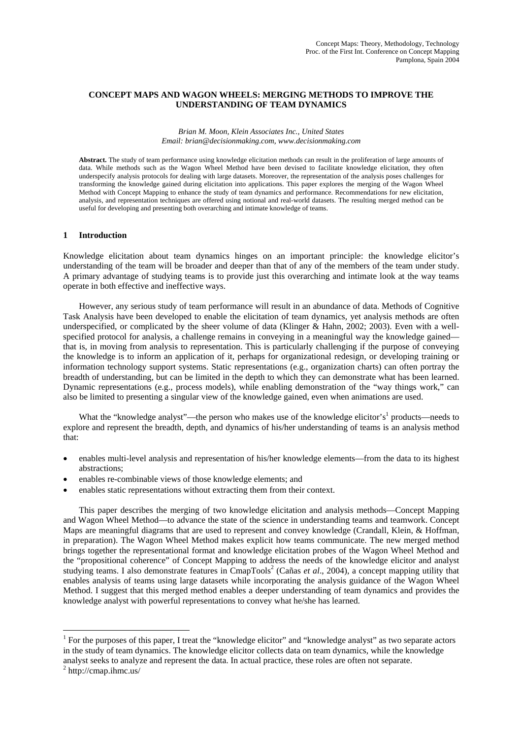# **CONCEPT MAPS AND WAGON WHEELS: MERGING METHODS TO IMPROVE THE UNDERSTANDING OF TEAM DYNAMICS**

#### *Brian M. Moon, Klein Associates Inc., United States Email: brian@decisionmaking.com, www.decisionmaking.com*

**Abstract.** The study of team performance using knowledge elicitation methods can result in the proliferation of large amounts of data. While methods such as the Wagon Wheel Method have been devised to facilitate knowledge elicitation, they often underspecify analysis protocols for dealing with large datasets. Moreover, the representation of the analysis poses challenges for transforming the knowledge gained during elicitation into applications. This paper explores the merging of the Wagon Wheel Method with Concept Mapping to enhance the study of team dynamics and performance. Recommendations for new elicitation, analysis, and representation techniques are offered using notional and real-world datasets. The resulting merged method can be useful for developing and presenting both overarching and intimate knowledge of teams.

## **1 Introduction**

Knowledge elicitation about team dynamics hinges on an important principle: the knowledge elicitor's understanding of the team will be broader and deeper than that of any of the members of the team under study. A primary advantage of studying teams is to provide just this overarching and intimate look at the way teams operate in both effective and ineffective ways.

However, any serious study of team performance will result in an abundance of data. Methods of Cognitive Task Analysis have been developed to enable the elicitation of team dynamics, yet analysis methods are often underspecified, or complicated by the sheer volume of data (Klinger & Hahn, 2002; 2003). Even with a wellspecified protocol for analysis, a challenge remains in conveying in a meaningful way the knowledge gained that is, in moving from analysis to representation. This is particularly challenging if the purpose of conveying the knowledge is to inform an application of it, perhaps for organizational redesign, or developing training or information technology support systems. Static representations (e.g., organization charts) can often portray the breadth of understanding, but can be limited in the depth to which they can demonstrate what has been learned. Dynamic representations (e.g., process models), while enabling demonstration of the "way things work," can also be limited to presenting a singular view of the knowledge gained, even when animations are used.

What the "knowledge analyst"—the person who makes use of the knowledge elicitor's<sup>1</sup> products—needs to explore and represent the breadth, depth, and dynamics of his/her understanding of teams is an analysis method that:

- enables multi-level analysis and representation of his/her knowledge elements—from the data to its highest abstractions;
- enables re-combinable views of those knowledge elements; and
- enables static representations without extracting them from their context.

This paper describes the merging of two knowledge elicitation and analysis methods—Concept Mapping and Wagon Wheel Method—to advance the state of the science in understanding teams and teamwork. Concept Maps are meaningful diagrams that are used to represent and convey knowledge (Crandall, Klein, & Hoffman, in preparation). The Wagon Wheel Method makes explicit how teams communicate. The new merged method brings together the representational format and knowledge elicitation probes of the Wagon Wheel Method and the "propositional coherence" of Concept Mapping to address the needs of the knowledge elicitor and analyst studying teams. I also demonstrate features in CmapTools<sup>2</sup> (Cañas *et al.*, 2004), a concept mapping utility that enables analysis of teams using large datasets while incorporating the analysis guidance of the Wagon Wheel Method. I suggest that this merged method enables a deeper understanding of team dynamics and provides the knowledge analyst with powerful representations to convey what he/she has learned.

<sup>&</sup>lt;sup>1</sup> For the purposes of this paper, I treat the "knowledge elicitor" and "knowledge analyst" as two separate actors in the study of team dynamics. The knowledge elicitor collects data on team dynamics, while the knowledge analyst seeks to analyze and represent the data. In actual practice, these roles are often not separate. 2

 $2$  http://cmap.ihmc.us/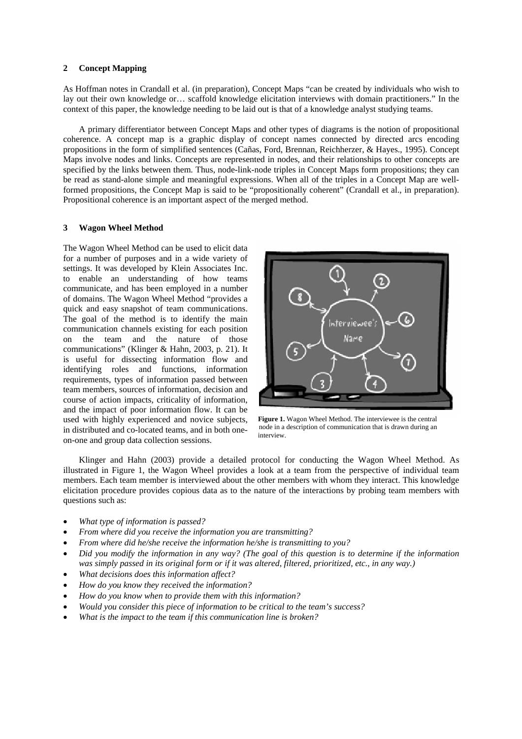# **2 Concept Mapping**

As Hoffman notes in Crandall et al. (in preparation), Concept Maps "can be created by individuals who wish to lay out their own knowledge or… scaffold knowledge elicitation interviews with domain practitioners." In the context of this paper, the knowledge needing to be laid out is that of a knowledge analyst studying teams.

A primary differentiator between Concept Maps and other types of diagrams is the notion of propositional coherence. A concept map is a graphic display of concept names connected by directed arcs encoding propositions in the form of simplified sentences (Cañas, Ford, Brennan, Reichherzer, & Hayes., 1995). Concept Maps involve nodes and links. Concepts are represented in nodes, and their relationships to other concepts are specified by the links between them. Thus, node-link-node triples in Concept Maps form propositions; they can be read as stand-alone simple and meaningful expressions. When all of the triples in a Concept Map are wellformed propositions, the Concept Map is said to be "propositionally coherent" (Crandall et al., in preparation). Propositional coherence is an important aspect of the merged method.

# **3 Wagon Wheel Method**

The Wagon Wheel Method can be used to elicit data for a number of purposes and in a wide variety of settings. It was developed by Klein Associates Inc. to enable an understanding of how teams communicate, and has been employed in a number of domains. The Wagon Wheel Method "provides a quick and easy snapshot of team communications. The goal of the method is to identify the main communication channels existing for each position on the team and the nature of those communications" (Klinger & Hahn, 2003, p. 21). It is useful for dissecting information flow and identifying roles and functions, information requirements, types of information passed between team members, sources of information, decision and course of action impacts, criticality of information, and the impact of poor information flow. It can be used with highly experienced and novice subjects, in distributed and co-located teams, and in both oneon-one and group data collection sessions.



**Figure 1.** Wagon Wheel Method. The interviewee is the central node in a description of communication that is drawn during an interview.

Klinger and Hahn (2003) provide a detailed protocol for conducting the Wagon Wheel Method. As illustrated in Figure 1, the Wagon Wheel provides a look at a team from the perspective of individual team members. Each team member is interviewed about the other members with whom they interact. This knowledge elicitation procedure provides copious data as to the nature of the interactions by probing team members with questions such as:

- *What type of information is passed?*
- *From where did you receive the information you are transmitting?*
- *From where did he/she receive the information he/she is transmitting to you?*
- *Did you modify the information in any way? (The goal of this question is to determine if the information was simply passed in its original form or if it was altered, filtered, prioritized, etc., in any way.)*
- *What decisions does this information affect?*
- *How do you know they received the information?*
- *How do you know when to provide them with this information?*
- *Would you consider this piece of information to be critical to the team's success?*
- *What is the impact to the team if this communication line is broken?*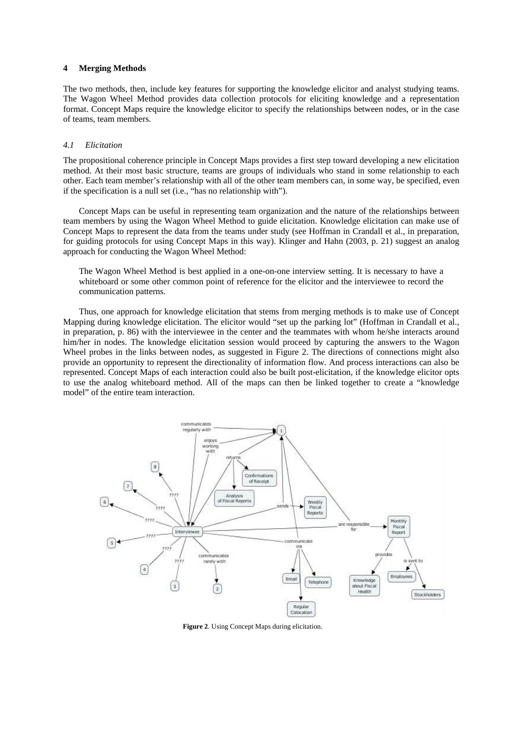### **4 Merging Methods**

The two methods, then, include key features for supporting the knowledge elicitor and analyst studying teams. The Wagon Wheel Method provides data collection protocols for eliciting knowledge and a representation format. Concept Maps require the knowledge elicitor to specify the relationships between nodes, or in the case of teams, team members.

### *4.1 Elicitation*

The propositional coherence principle in Concept Maps provides a first step toward developing a new elicitation method. At their most basic structure, teams are groups of individuals who stand in some relationship to each other. Each team member's relationship with all of the other team members can, in some way, be specified, even if the specification is a null set (i.e., "has no relationship with").

Concept Maps can be useful in representing team organization and the nature of the relationships between team members by using the Wagon Wheel Method to guide elicitation. Knowledge elicitation can make use of Concept Maps to represent the data from the teams under study (see Hoffman in Crandall et al., in preparation, for guiding protocols for using Concept Maps in this way). Klinger and Hahn (2003, p. 21) suggest an analog approach for conducting the Wagon Wheel Method:

The Wagon Wheel Method is best applied in a one-on-one interview setting. It is necessary to have a whiteboard or some other common point of reference for the elicitor and the interviewee to record the communication patterns.

Thus, one approach for knowledge elicitation that stems from merging methods is to make use of Concept Mapping during knowledge elicitation. The elicitor would "set up the parking lot" (Hoffman in Crandall et al., in preparation, p. 86) with the interviewee in the center and the teammates with whom he/she interacts around him/her in nodes. The knowledge elicitation session would proceed by capturing the answers to the Wagon Wheel probes in the links between nodes, as suggested in Figure 2. The directions of connections might also provide an opportunity to represent the directionality of information flow. And process interactions can also be represented. Concept Maps of each interaction could also be built post-elicitation, if the knowledge elicitor opts to use the analog whiteboard method. All of the maps can then be linked together to create a "knowledge model" of the entire team interaction.



**Figure 2***.* Using Concept Maps during elicitation.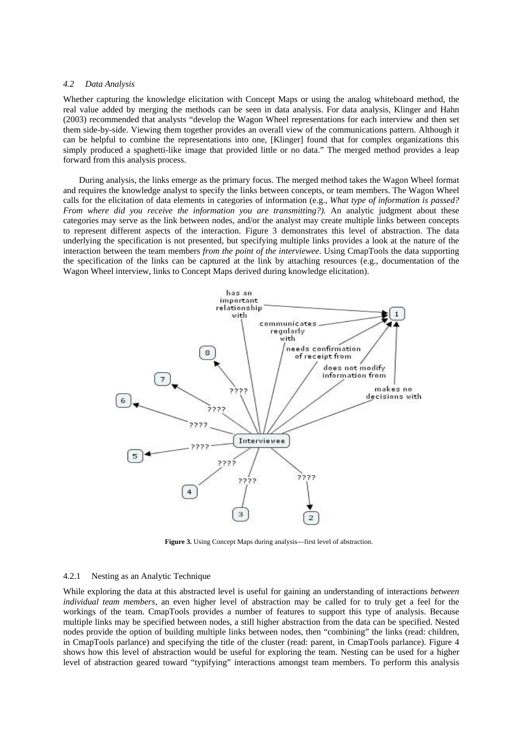#### *4.2 Data Analysis*

Whether capturing the knowledge elicitation with Concept Maps or using the analog whiteboard method, the real value added by merging the methods can be seen in data analysis. For data analysis, Klinger and Hahn (2003) recommended that analysts "develop the Wagon Wheel representations for each interview and then set them side-by-side. Viewing them together provides an overall view of the communications pattern. Although it can be helpful to combine the representations into one, [Klinger] found that for complex organizations this simply produced a spaghetti-like image that provided little or no data." The merged method provides a leap forward from this analysis process.

During analysis, the links emerge as the primary focus. The merged method takes the Wagon Wheel format and requires the knowledge analyst to specify the links between concepts, or team members. The Wagon Wheel calls for the elicitation of data elements in categories of information (e.g., *What type of information is passed? From where did you receive the information you are transmitting?*). An analytic judgment about these categories may serve as the link between nodes, and/or the analyst may create multiple links between concepts to represent different aspects of the interaction. Figure 3 demonstrates this level of abstraction. The data underlying the specification is not presented, but specifying multiple links provides a look at the nature of the interaction between the team members *from the point of the interviewee*. Using CmapTools the data supporting the specification of the links can be captured at the link by attaching resources (e.g., documentation of the Wagon Wheel interview, links to Concept Maps derived during knowledge elicitation).



**Figure 3.** Using Concept Maps during analysis—first level of abstraction.

#### 4.2.1 Nesting as an Analytic Technique

While exploring the data at this abstracted level is useful for gaining an understanding of interactions *between individual team members*, an even higher level of abstraction may be called for to truly get a feel for the workings of the team. CmapTools provides a number of features to support this type of analysis. Because multiple links may be specified between nodes, a still higher abstraction from the data can be specified. Nested nodes provide the option of building multiple links between nodes, then "combining" the links (read: children, in CmapTools parlance) and specifying the title of the cluster (read: parent, in CmapTools parlance). Figure 4 shows how this level of abstraction would be useful for exploring the team. Nesting can be used for a higher level of abstraction geared toward "typifying" interactions amongst team members. To perform this analysis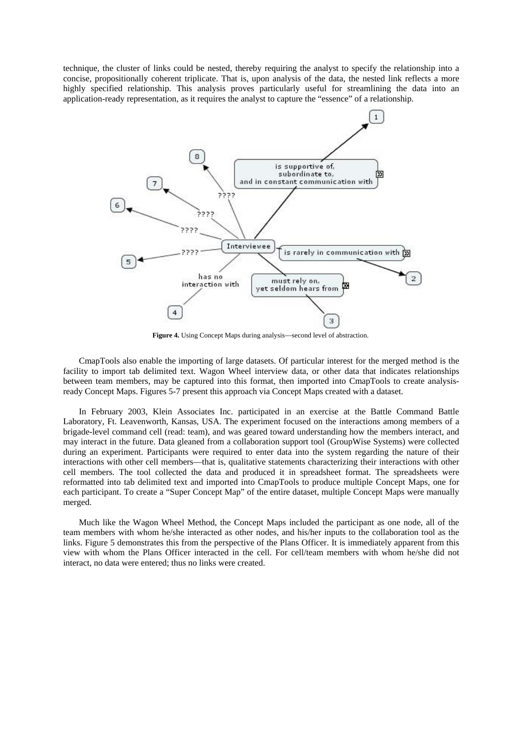technique, the cluster of links could be nested, thereby requiring the analyst to specify the relationship into a concise, propositionally coherent triplicate. That is, upon analysis of the data, the nested link reflects a more highly specified relationship. This analysis proves particularly useful for streamlining the data into an application-ready representation, as it requires the analyst to capture the "essence" of a relationship.



**Figure 4.** Using Concept Maps during analysis—second level of abstraction.

CmapTools also enable the importing of large datasets. Of particular interest for the merged method is the facility to import tab delimited text. Wagon Wheel interview data, or other data that indicates relationships between team members, may be captured into this format, then imported into CmapTools to create analysisready Concept Maps. Figures 5-7 present this approach via Concept Maps created with a dataset.

In February 2003, Klein Associates Inc. participated in an exercise at the Battle Command Battle Laboratory, Ft. Leavenworth, Kansas, USA. The experiment focused on the interactions among members of a brigade-level command cell (read: team), and was geared toward understanding how the members interact, and may interact in the future. Data gleaned from a collaboration support tool (GroupWise Systems) were collected during an experiment. Participants were required to enter data into the system regarding the nature of their interactions with other cell members—that is, qualitative statements characterizing their interactions with other cell members. The tool collected the data and produced it in spreadsheet format. The spreadsheets were reformatted into tab delimited text and imported into CmapTools to produce multiple Concept Maps, one for each participant. To create a "Super Concept Map" of the entire dataset, multiple Concept Maps were manually merged.

Much like the Wagon Wheel Method, the Concept Maps included the participant as one node, all of the team members with whom he/she interacted as other nodes, and his/her inputs to the collaboration tool as the links. Figure 5 demonstrates this from the perspective of the Plans Officer. It is immediately apparent from this view with whom the Plans Officer interacted in the cell. For cell/team members with whom he/she did not interact, no data were entered; thus no links were created.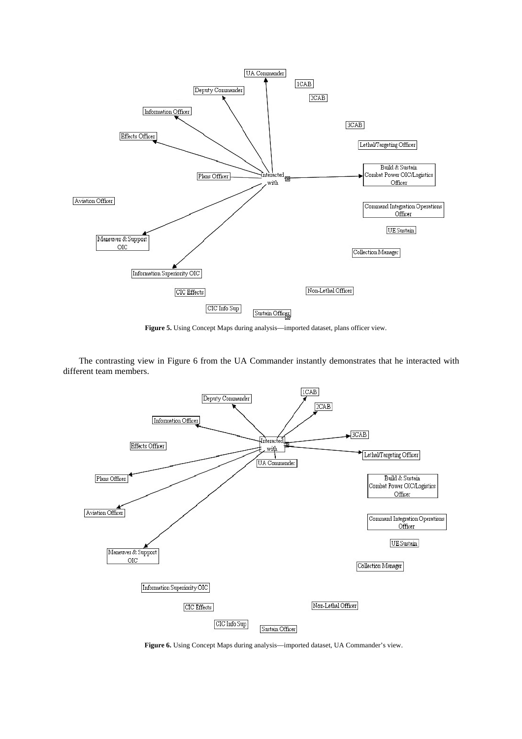

**Figure 5.** Using Concept Maps during analysis—imported dataset, plans officer view.

The contrasting view in Figure 6 from the UA Commander instantly demonstrates that he interacted with different team members.



**Figure 6.** Using Concept Maps during analysis—imported dataset, UA Commander's view.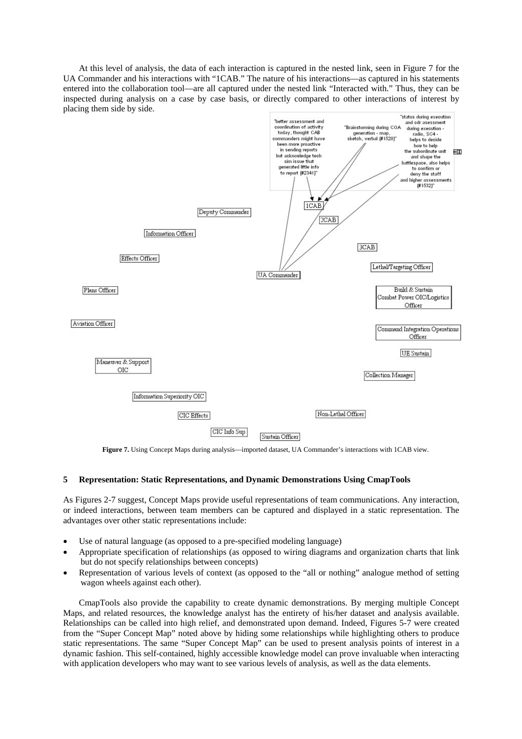At this level of analysis, the data of each interaction is captured in the nested link, seen in Figure 7 for the UA Commander and his interactions with "1CAB." The nature of his interactions—as captured in his statements entered into the collaboration tool—are all captured under the nested link "Interacted with." Thus, they can be inspected during analysis on a case by case basis, or directly compared to other interactions of interest by placing them side by side.



**Figure 7.** Using Concept Maps during analysis—imported dataset, UA Commander's interactions with 1CAB view.

## **5 Representation: Static Representations, and Dynamic Demonstrations Using CmapTools**

As Figures 2-7 suggest, Concept Maps provide useful representations of team communications. Any interaction, or indeed interactions, between team members can be captured and displayed in a static representation. The advantages over other static representations include:

- Use of natural language (as opposed to a pre-specified modeling language)
- Appropriate specification of relationships (as opposed to wiring diagrams and organization charts that link but do not specify relationships between concepts)
- Representation of various levels of context (as opposed to the "all or nothing" analogue method of setting wagon wheels against each other).

CmapTools also provide the capability to create dynamic demonstrations. By merging multiple Concept Maps, and related resources, the knowledge analyst has the entirety of his/her dataset and analysis available. Relationships can be called into high relief, and demonstrated upon demand. Indeed, Figures 5-7 were created from the "Super Concept Map" noted above by hiding some relationships while highlighting others to produce static representations. The same "Super Concept Map" can be used to present analysis points of interest in a dynamic fashion. This self-contained, highly accessible knowledge model can prove invaluable when interacting with application developers who may want to see various levels of analysis, as well as the data elements.